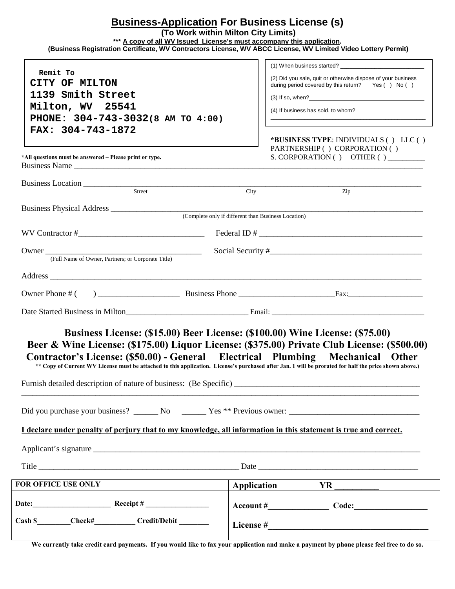## **Business-Application For Business License (s)**

 **(To Work within Milton City Limits)** 

**\*\*\* A copy of all WV Issued License's must accompany this application.** 

 **(Business Registration Certificate, WV Contractors License, WV ABCC License, WV Limited Video Lottery Permit)** 

| Remit To<br>CITY OF MILTON<br>1139 Smith Street<br>Milton, WV 25541<br>(4) If business has sold, to whom?<br>PHONE: 304-743-3032(8 AM TO 4:00)<br>FAX: 304-743-1872<br>PARTNERSHIP ( ) CORPORATION ( )<br>*All questions must be answered – Please print or type.<br>Business Name<br>Business Location Land and the Contract of the Contract of the Contract of the Contract of the Contract of the Contract of the Contract of the Contract of the Contract of the Contract of the Contract of the Contract of the<br>Street<br>City<br>Zip<br>Owner (Full Name of Owner, Partners; or Corporate Title)<br>Business License: (\$15.00) Beer License: (\$100.00) Wine License: (\$75.00)<br>Beer & Wine License: (\$175.00) Liquor License: (\$375.00) Private Club License: (\$500.00)<br>Contractor's License: (\$50.00) - General Electrical Plumbing Mechanical Other<br>** Copy of Current WV License must be attached to this application. License's purchased after Jan. 1 will be prorated for half the price shown above.)<br>Furnish detailed description of nature of business: (Be Specific) __________________________________<br>Did you purchase your business? ________ No _________ Yes ** Previous owner: _________________________________<br>I declare under penalty of perjury that to my knowledge, all information in this statement is true and correct.<br><b>FOR OFFICE USE ONLY</b> |                                                   |                                                                                                                                                                                                                                |
|-----------------------------------------------------------------------------------------------------------------------------------------------------------------------------------------------------------------------------------------------------------------------------------------------------------------------------------------------------------------------------------------------------------------------------------------------------------------------------------------------------------------------------------------------------------------------------------------------------------------------------------------------------------------------------------------------------------------------------------------------------------------------------------------------------------------------------------------------------------------------------------------------------------------------------------------------------------------------------------------------------------------------------------------------------------------------------------------------------------------------------------------------------------------------------------------------------------------------------------------------------------------------------------------------------------------------------------------------------------------------------------------------------------------|---------------------------------------------------|--------------------------------------------------------------------------------------------------------------------------------------------------------------------------------------------------------------------------------|
|                                                                                                                                                                                                                                                                                                                                                                                                                                                                                                                                                                                                                                                                                                                                                                                                                                                                                                                                                                                                                                                                                                                                                                                                                                                                                                                                                                                                                 |                                                   | (2) Did you sale, quit or otherwise dispose of your business                                                                                                                                                                   |
|                                                                                                                                                                                                                                                                                                                                                                                                                                                                                                                                                                                                                                                                                                                                                                                                                                                                                                                                                                                                                                                                                                                                                                                                                                                                                                                                                                                                                 |                                                   | during period covered by this return?  Yes () No ()                                                                                                                                                                            |
|                                                                                                                                                                                                                                                                                                                                                                                                                                                                                                                                                                                                                                                                                                                                                                                                                                                                                                                                                                                                                                                                                                                                                                                                                                                                                                                                                                                                                 |                                                   |                                                                                                                                                                                                                                |
|                                                                                                                                                                                                                                                                                                                                                                                                                                                                                                                                                                                                                                                                                                                                                                                                                                                                                                                                                                                                                                                                                                                                                                                                                                                                                                                                                                                                                 |                                                   |                                                                                                                                                                                                                                |
|                                                                                                                                                                                                                                                                                                                                                                                                                                                                                                                                                                                                                                                                                                                                                                                                                                                                                                                                                                                                                                                                                                                                                                                                                                                                                                                                                                                                                 |                                                   |                                                                                                                                                                                                                                |
|                                                                                                                                                                                                                                                                                                                                                                                                                                                                                                                                                                                                                                                                                                                                                                                                                                                                                                                                                                                                                                                                                                                                                                                                                                                                                                                                                                                                                 |                                                   | *BUSINESS TYPE: INDIVIDUALS () LLC ()<br>S. CORPORATION () OTHER () _________                                                                                                                                                  |
|                                                                                                                                                                                                                                                                                                                                                                                                                                                                                                                                                                                                                                                                                                                                                                                                                                                                                                                                                                                                                                                                                                                                                                                                                                                                                                                                                                                                                 |                                                   |                                                                                                                                                                                                                                |
|                                                                                                                                                                                                                                                                                                                                                                                                                                                                                                                                                                                                                                                                                                                                                                                                                                                                                                                                                                                                                                                                                                                                                                                                                                                                                                                                                                                                                 |                                                   |                                                                                                                                                                                                                                |
|                                                                                                                                                                                                                                                                                                                                                                                                                                                                                                                                                                                                                                                                                                                                                                                                                                                                                                                                                                                                                                                                                                                                                                                                                                                                                                                                                                                                                 |                                                   |                                                                                                                                                                                                                                |
|                                                                                                                                                                                                                                                                                                                                                                                                                                                                                                                                                                                                                                                                                                                                                                                                                                                                                                                                                                                                                                                                                                                                                                                                                                                                                                                                                                                                                 |                                                   |                                                                                                                                                                                                                                |
|                                                                                                                                                                                                                                                                                                                                                                                                                                                                                                                                                                                                                                                                                                                                                                                                                                                                                                                                                                                                                                                                                                                                                                                                                                                                                                                                                                                                                 |                                                   |                                                                                                                                                                                                                                |
|                                                                                                                                                                                                                                                                                                                                                                                                                                                                                                                                                                                                                                                                                                                                                                                                                                                                                                                                                                                                                                                                                                                                                                                                                                                                                                                                                                                                                 |                                                   |                                                                                                                                                                                                                                |
|                                                                                                                                                                                                                                                                                                                                                                                                                                                                                                                                                                                                                                                                                                                                                                                                                                                                                                                                                                                                                                                                                                                                                                                                                                                                                                                                                                                                                 |                                                   |                                                                                                                                                                                                                                |
|                                                                                                                                                                                                                                                                                                                                                                                                                                                                                                                                                                                                                                                                                                                                                                                                                                                                                                                                                                                                                                                                                                                                                                                                                                                                                                                                                                                                                 |                                                   |                                                                                                                                                                                                                                |
|                                                                                                                                                                                                                                                                                                                                                                                                                                                                                                                                                                                                                                                                                                                                                                                                                                                                                                                                                                                                                                                                                                                                                                                                                                                                                                                                                                                                                 |                                                   |                                                                                                                                                                                                                                |
|                                                                                                                                                                                                                                                                                                                                                                                                                                                                                                                                                                                                                                                                                                                                                                                                                                                                                                                                                                                                                                                                                                                                                                                                                                                                                                                                                                                                                 |                                                   |                                                                                                                                                                                                                                |
|                                                                                                                                                                                                                                                                                                                                                                                                                                                                                                                                                                                                                                                                                                                                                                                                                                                                                                                                                                                                                                                                                                                                                                                                                                                                                                                                                                                                                 |                                                   |                                                                                                                                                                                                                                |
|                                                                                                                                                                                                                                                                                                                                                                                                                                                                                                                                                                                                                                                                                                                                                                                                                                                                                                                                                                                                                                                                                                                                                                                                                                                                                                                                                                                                                 |                                                   |                                                                                                                                                                                                                                |
|                                                                                                                                                                                                                                                                                                                                                                                                                                                                                                                                                                                                                                                                                                                                                                                                                                                                                                                                                                                                                                                                                                                                                                                                                                                                                                                                                                                                                 |                                                   |                                                                                                                                                                                                                                |
|                                                                                                                                                                                                                                                                                                                                                                                                                                                                                                                                                                                                                                                                                                                                                                                                                                                                                                                                                                                                                                                                                                                                                                                                                                                                                                                                                                                                                 |                                                   |                                                                                                                                                                                                                                |
|                                                                                                                                                                                                                                                                                                                                                                                                                                                                                                                                                                                                                                                                                                                                                                                                                                                                                                                                                                                                                                                                                                                                                                                                                                                                                                                                                                                                                 |                                                   |                                                                                                                                                                                                                                |
|                                                                                                                                                                                                                                                                                                                                                                                                                                                                                                                                                                                                                                                                                                                                                                                                                                                                                                                                                                                                                                                                                                                                                                                                                                                                                                                                                                                                                 |                                                   | Application YR NA NA CONSERVERT AND THE CONSERVERT OF THE CONSERVERT OF THE CONSERVERT OF THE CONSERVERT OF THE CONSERVERT OF THE CONSERVERT OF THE CONSERVERT OF THE CONSERVERT OF THE CONSERVERT OF THE CONSERVERT OF THE CO |
|                                                                                                                                                                                                                                                                                                                                                                                                                                                                                                                                                                                                                                                                                                                                                                                                                                                                                                                                                                                                                                                                                                                                                                                                                                                                                                                                                                                                                 |                                                   |                                                                                                                                                                                                                                |
|                                                                                                                                                                                                                                                                                                                                                                                                                                                                                                                                                                                                                                                                                                                                                                                                                                                                                                                                                                                                                                                                                                                                                                                                                                                                                                                                                                                                                 | Cash \$________Check#________Credit/Debit _______ |                                                                                                                                                                                                                                |

**We currently take credit card payments. If you would like to fax your application and make a payment by phone please feel free to do so.**